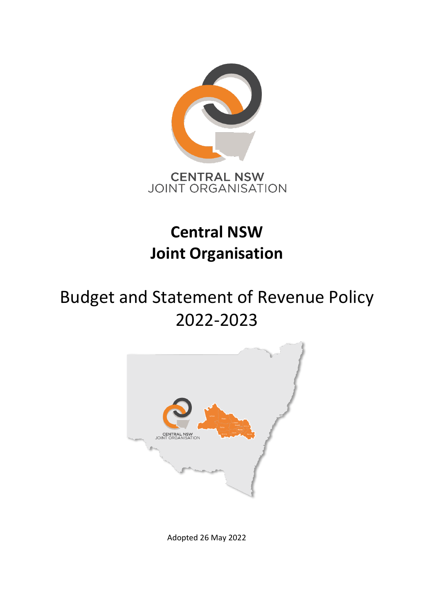

## **Central NSW Joint Organisation**

# Budget and Statement of Revenue Policy 2022-2023



Adopted 26 May 2022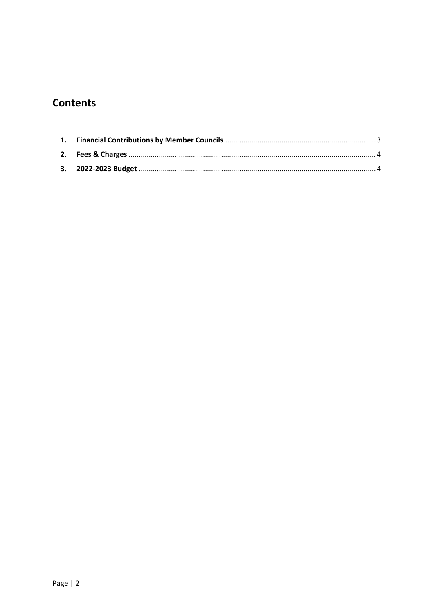## **Contents**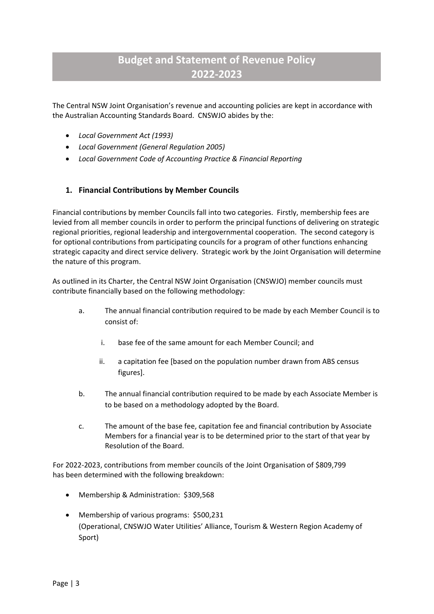## **Budget and Statement of Revenue Policy 2022-2023**

The Central NSW Joint Organisation's revenue and accounting policies are kept in accordance with the Australian Accounting Standards Board. CNSWJO abides by the:

- *Local Government Act (1993)*
- *Local Government (General Regulation 2005)*
- *Local Government Code of Accounting Practice & Financial Reporting*

#### <span id="page-2-0"></span>**1. Financial Contributions by Member Councils**

Financial contributions by member Councils fall into two categories. Firstly, membership fees are levied from all member councils in order to perform the principal functions of delivering on strategic regional priorities, regional leadership and intergovernmental cooperation. The second category is for optional contributions from participating councils for a program of other functions enhancing strategic capacity and direct service delivery. Strategic work by the Joint Organisation will determine the nature of this program.

As outlined in its Charter, the Central NSW Joint Organisation (CNSWJO) member councils must contribute financially based on the following methodology:

- a. The annual financial contribution required to be made by each Member Council is to consist of:
	- i. base fee of the same amount for each Member Council; and
	- ii. a capitation fee [based on the population number drawn from ABS census figures].
- b. The annual financial contribution required to be made by each Associate Member is to be based on a methodology adopted by the Board.
- c. The amount of the base fee, capitation fee and financial contribution by Associate Members for a financial year is to be determined prior to the start of that year by Resolution of the Board.

For 2022-2023, contributions from member councils of the Joint Organisation of \$809,799 has been determined with the following breakdown:

- Membership & Administration: \$309,568
- Membership of various programs: \$500,231 (Operational, CNSWJO Water Utilities' Alliance, Tourism & Western Region Academy of Sport)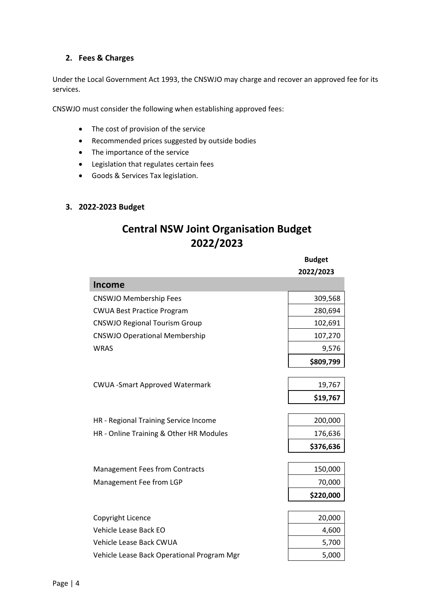#### <span id="page-3-0"></span>**2. Fees & Charges**

Under the Local Government Act 1993, the CNSWJO may charge and recover an approved fee for its services.

CNSWJO must consider the following when establishing approved fees:

- The cost of provision of the service
- Recommended prices suggested by outside bodies
- The importance of the service
- Legislation that regulates certain fees
- Goods & Services Tax legislation.

#### <span id="page-3-1"></span>**3. 2022-2023 Budget**

I

### **Central NSW Joint Organisation Budget 2022/2023**

|                                            | <b>Budget</b><br>2022/2023 |
|--------------------------------------------|----------------------------|
| <b>Income</b>                              |                            |
| <b>CNSWJO Membership Fees</b>              | 309,568                    |
| <b>CWUA Best Practice Program</b>          | 280,694                    |
| <b>CNSWJO Regional Tourism Group</b>       | 102,691                    |
| <b>CNSWJO Operational Membership</b>       | 107,270                    |
| <b>WRAS</b>                                | 9,576                      |
|                                            | \$809,799                  |
|                                            |                            |
| <b>CWUA - Smart Approved Watermark</b>     | 19,767                     |
|                                            | \$19,767                   |
| HR - Regional Training Service Income      | 200,000                    |
| HR - Online Training & Other HR Modules    | 176,636                    |
|                                            | \$376,636                  |
|                                            |                            |
| <b>Management Fees from Contracts</b>      | 150,000                    |
| Management Fee from LGP                    | 70,000                     |
|                                            | \$220,000                  |
| Copyright Licence                          | 20,000                     |
| Vehicle Lease Back EO                      | 4,600                      |
| Vehicle Lease Back CWUA                    | 5,700                      |
| Vehicle Lease Back Operational Program Mgr | 5,000                      |